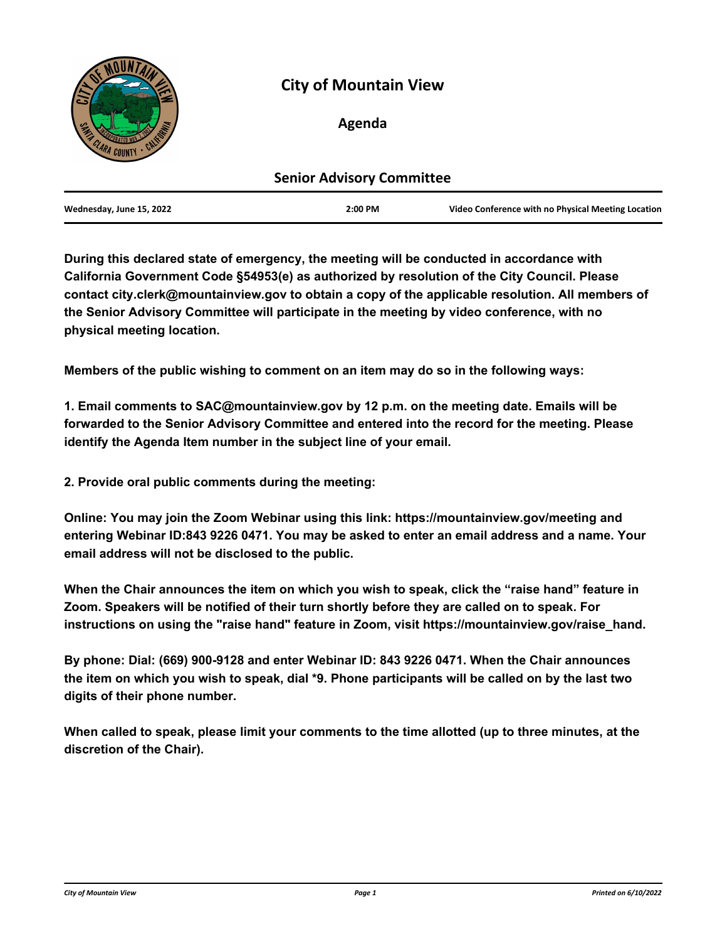

# **City of Mountain View**

# **Agenda**

| <b>Senior Advisory Committee</b> |         |                                                    |
|----------------------------------|---------|----------------------------------------------------|
| Wednesday, June 15, 2022         | 2:00 PM | Video Conference with no Physical Meeting Location |

**During this declared state of emergency, the meeting will be conducted in accordance with California Government Code §54953(e) as authorized by resolution of the City Council. Please contact city.clerk@mountainview.gov to obtain a copy of the applicable resolution. All members of the Senior Advisory Committee will participate in the meeting by video conference, with no physical meeting location.**

**Members of the public wishing to comment on an item may do so in the following ways:**

**1. Email comments to SAC@mountainview.gov by 12 p.m. on the meeting date. Emails will be forwarded to the Senior Advisory Committee and entered into the record for the meeting. Please identify the Agenda Item number in the subject line of your email.**

**2. Provide oral public comments during the meeting:**

**Online: You may join the Zoom Webinar using this link: https://mountainview.gov/meeting and entering Webinar ID:843 9226 0471. You may be asked to enter an email address and a name. Your email address will not be disclosed to the public.**

**When the Chair announces the item on which you wish to speak, click the "raise hand" feature in Zoom. Speakers will be notified of their turn shortly before they are called on to speak. For instructions on using the "raise hand" feature in Zoom, visit https://mountainview.gov/raise\_hand.**

**By phone: Dial: (669) 900-9128 and enter Webinar ID: 843 9226 0471. When the Chair announces the item on which you wish to speak, dial \*9. Phone participants will be called on by the last two digits of their phone number.**

**When called to speak, please limit your comments to the time allotted (up to three minutes, at the discretion of the Chair).**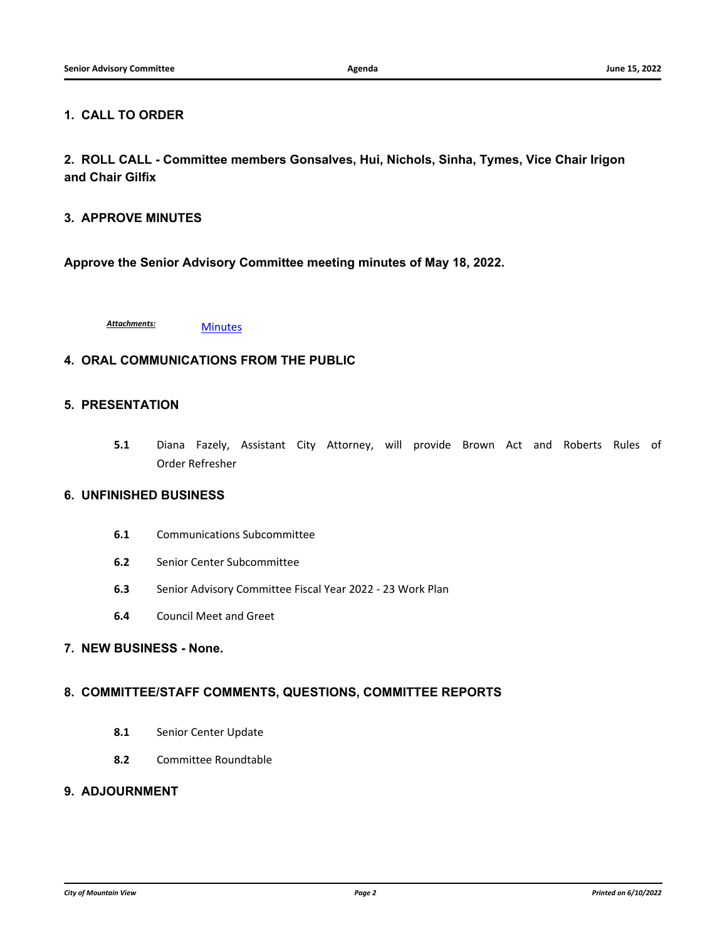#### **1. CALL TO ORDER**

**2. ROLL CALL - Committee members Gonsalves, Hui, Nichols, Sinha, Tymes, Vice Chair Irigon and Chair Gilfix**

#### **3. APPROVE MINUTES**

**Approve the Senior Advisory Committee meeting minutes of May 18, 2022.**

[Minutes](http://mountainview.legistar.com/gateway.aspx?M=F&ID=75281f3b-cdaa-4e3e-a07f-2705a1c93364.pdf) *Attachments:*

# **4. ORAL COMMUNICATIONS FROM THE PUBLIC**

#### **5. PRESENTATION**

**5.1** [Diana Fazely, Assistant City Attorney, will provide Brown Act and Roberts Rules of](http://mountainview.legistar.com/gateway.aspx?m=l&id=/matter.aspx?key=6598) Order Refresher

#### **6. UNFINISHED BUSINESS**

- **6.1** [Communications Subcommittee](http://mountainview.legistar.com/gateway.aspx?m=l&id=/matter.aspx?key=6171)
- **6.2** [Senior Center Subcommittee](http://mountainview.legistar.com/gateway.aspx?m=l&id=/matter.aspx?key=6172)
- **6.3** [Senior Advisory Committee Fiscal Year 2022 23 Work Plan](http://mountainview.legistar.com/gateway.aspx?m=l&id=/matter.aspx?key=6520)
- **6.4** [Council Meet and Greet](http://mountainview.legistar.com/gateway.aspx?m=l&id=/matter.aspx?key=6518)

# **7. NEW BUSINESS - None.**

#### **8. COMMITTEE/STAFF COMMENTS, QUESTIONS, COMMITTEE REPORTS**

- **8.1** [Senior Center Update](http://mountainview.legistar.com/gateway.aspx?m=l&id=/matter.aspx?key=6173)
- **8.2** [Committee Roundtable](http://mountainview.legistar.com/gateway.aspx?m=l&id=/matter.aspx?key=6174)

# **9. ADJOURNMENT**

*City of Mountain View Page 2 Printed on 6/10/2022*